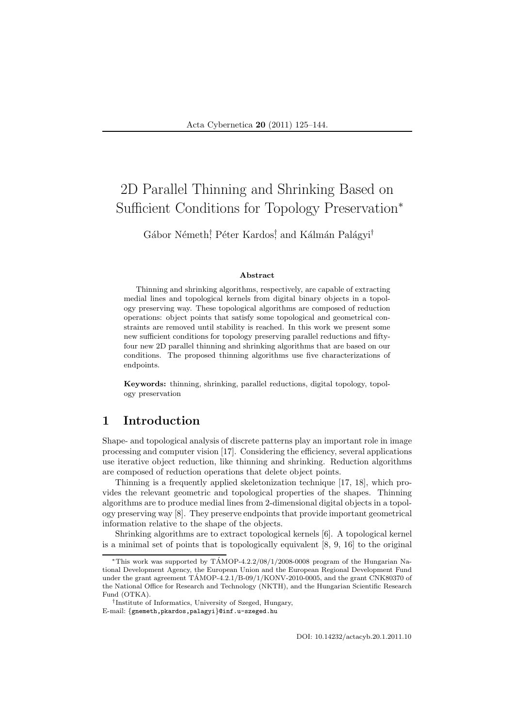# 2D Parallel Thinning and Shrinking Based on Sufficient Conditions for Topology Preservation<sup>∗</sup>

Gábor Németh<sup>†</sup> Péter Kardos<sup>†</sup> and Kálmán Palágyi<sup>†</sup>

#### Abstract

Thinning and shrinking algorithms, respectively, are capable of extracting medial lines and topological kernels from digital binary objects in a topology preserving way. These topological algorithms are composed of reduction operations: object points that satisfy some topological and geometrical constraints are removed until stability is reached. In this work we present some new sufficient conditions for topology preserving parallel reductions and fiftyfour new 2D parallel thinning and shrinking algorithms that are based on our conditions. The proposed thinning algorithms use five characterizations of endpoints.

Keywords: thinning, shrinking, parallel reductions, digital topology, topology preservation

# 1 Introduction

Shape- and topological analysis of discrete patterns play an important role in image processing and computer vision [17]. Considering the efficiency, several applications use iterative object reduction, like thinning and shrinking. Reduction algorithms are composed of reduction operations that delete object points.

Thinning is a frequently applied skeletonization technique [17, 18], which provides the relevant geometric and topological properties of the shapes. Thinning algorithms are to produce medial lines from 2-dimensional digital objects in a topology preserving way [8]. They preserve endpoints that provide important geometrical information relative to the shape of the objects.

Shrinking algorithms are to extract topological kernels [6]. A topological kernel is a minimal set of points that is topologically equivalent [8, 9, 16] to the original

<sup>\*</sup>This work was supported by  $T\text{AMOP-}4.2.2/08/1/2008-0008$  program of the Hungarian National Development Agency, the European Union and the European Regional Development Fund under the grant agreement  $TAMOP-4.2.1/B-09/1/KONV-2010-0005$ , and the grant CNK80370 of the National Office for Research and Technology (NKTH), and the Hungarian Scientific Research Fund (OTKA).

<sup>†</sup> Institute of Informatics, University of Szeged, Hungary, E-mail: {gnemeth,pkardos,palagyi}@inf.u-szeged.hu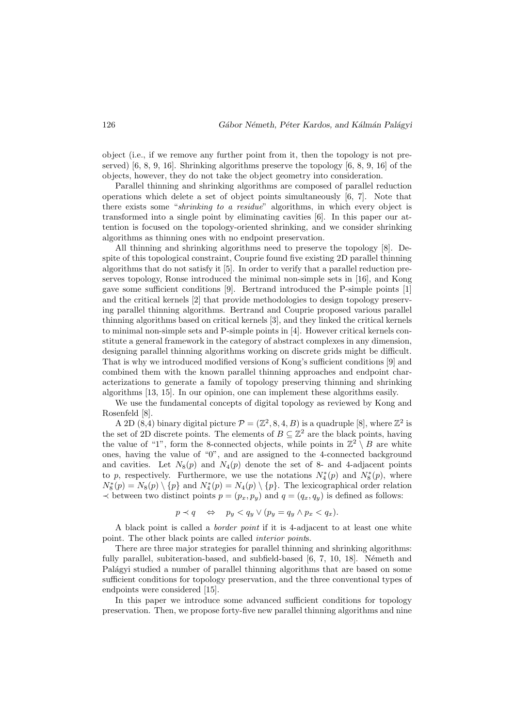object (i.e., if we remove any further point from it, then the topology is not preserved) [6, 8, 9, 16]. Shrinking algorithms preserve the topology [6, 8, 9, 16] of the objects, however, they do not take the object geometry into consideration.

Parallel thinning and shrinking algorithms are composed of parallel reduction operations which delete a set of object points simultaneously [6, 7]. Note that there exists some "*shrinking to a residue*" algorithms, in which every object is transformed into a single point by eliminating cavities [6]. In this paper our attention is focused on the topology-oriented shrinking, and we consider shrinking algorithms as thinning ones with no endpoint preservation.

All thinning and shrinking algorithms need to preserve the topology [8]. Despite of this topological constraint, Couprie found five existing 2D parallel thinning algorithms that do not satisfy it [5]. In order to verify that a parallel reduction preserves topology, Ronse introduced the minimal non-simple sets in [16], and Kong gave some sufficient conditions [9]. Bertrand introduced the P-simple points [1] and the critical kernels [2] that provide methodologies to design topology preserving parallel thinning algorithms. Bertrand and Couprie proposed various parallel thinning algorithms based on critical kernels [3], and they linked the critical kernels to minimal non-simple sets and P-simple points in [4]. However critical kernels constitute a general framework in the category of abstract complexes in any dimension, designing parallel thinning algorithms working on discrete grids might be difficult. That is why we introduced modified versions of Kong's sufficient conditions [9] and combined them with the known parallel thinning approaches and endpoint characterizations to generate a family of topology preserving thinning and shrinking algorithms [13, 15]. In our opinion, one can implement these algorithms easily.

We use the fundamental concepts of digital topology as reviewed by Kong and Rosenfeld [8].

A 2D  $(8,4)$  binary digital picture  $\mathcal{P} = (\mathbb{Z}^2, 8, 4, B)$  is a quadruple [8], where  $\mathbb{Z}^2$  is the set of 2D discrete points. The elements of  $B \subseteq \mathbb{Z}^2$  are the black points, having the value of "1", form the 8-connected objects, while points in  $\mathbb{Z}^2 \setminus B$  are white ones, having the value of "0", and are assigned to the 4-connected background and cavities. Let  $N_8(p)$  and  $N_4(p)$  denote the set of 8- and 4-adjacent points to p, respectively. Furthermore, we use the notations  $N_4^*(p)$  and  $N_8^*(p)$ , where  $N_8^*(p) = N_8(p) \setminus \{p\}$  and  $N_4^*(p) = N_4(p) \setminus \{p\}$ . The lexicographical order relation  $\prec$  between two distinct points  $p = (p_x, p_y)$  and  $q = (q_x, q_y)$  is defined as follows:

$$
p \prec q \quad \Leftrightarrow \quad p_y < q_y \lor (p_y = q_y \land p_x < q_x).
$$

A black point is called a *border point* if it is 4-adjacent to at least one white point. The other black points are called *interior point*s.

There are three major strategies for parallel thinning and shrinking algorithms: fully parallel, subiteration-based, and subfield-based  $[6, 7, 10, 18]$ . Németh and Palágyi studied a number of parallel thinning algorithms that are based on some sufficient conditions for topology preservation, and the three conventional types of endpoints were considered [15].

In this paper we introduce some advanced sufficient conditions for topology preservation. Then, we propose forty-five new parallel thinning algorithms and nine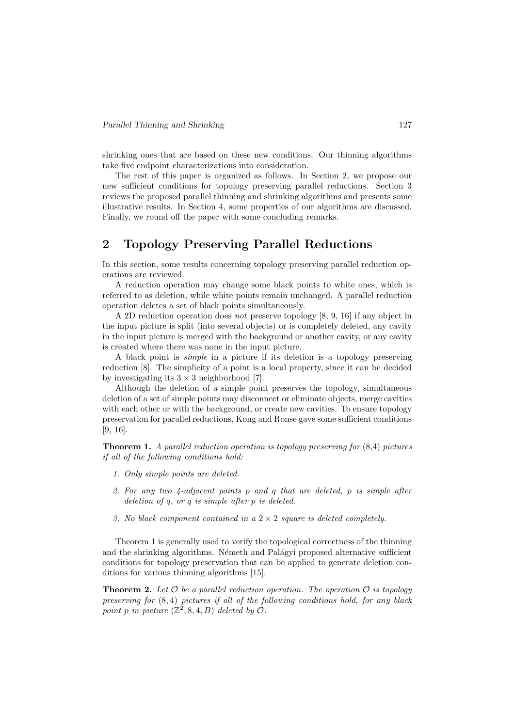shrinking ones that are based on these new conditions. Our thinning algorithms take five endpoint characterizations into consideration.

The rest of this paper is organized as follows. In Section 2, we propose our new sufficient conditions for topology preserving parallel reductions. Section 3 reviews the proposed parallel thinning and shrinking algorithms and presents some illustrative results. In Section 4, some properties of our algorithms are discussed. Finally, we round off the paper with some concluding remarks.

# 2 Topology Preserving Parallel Reductions

In this section, some results concerning topology preserving parallel reduction operations are reviewed.

A reduction operation may change some black points to white ones, which is referred to as deletion, while white points remain unchanged. A parallel reduction operation deletes a set of black points simultaneously.

A 2D reduction operation does *not* preserve topology [8, 9, 16] if any object in the input picture is split (into several objects) or is completely deleted, any cavity in the input picture is merged with the background or another cavity, or any cavity is created where there was none in the input picture.

A black point is *simple* in a picture if its deletion is a topology preserving reduction [8]. The simplicity of a point is a local property, since it can be decided by investigating its  $3 \times 3$  neighborhood [7].

Although the deletion of a simple point preserves the topology, simultaneous deletion of a set of simple points may disconnect or eliminate objects, merge cavities with each other or with the background, or create new cavities. To ensure topology preservation for parallel reductions, Kong and Ronse gave some sufficient conditions [9, 16].

Theorem 1. *A parallel reduction operation is topology preserving for* (8,4) *pictures if all of the following conditions hold:*

- *1. Only simple points are deleted.*
- *2. For any two 4-adjacent points* p *and* q *that are deleted,* p *is simple after deletion of* q*, or* q *is simple after* p *is deleted.*
- *3. No black component contained in a* 2 × 2 *square is deleted completely.*

Theorem 1 is generally used to verify the topological correctness of the thinning and the shrinking algorithms. Németh and Palágyi proposed alternative sufficient conditions for topology preservation that can be applied to generate deletion conditions for various thinning algorithms [15].

**Theorem 2.** Let  $\mathcal O$  be a parallel reduction operation. The operation  $\mathcal O$  is topology *preserving for* (8, 4) *pictures if all of the following conditions hold, for any black point* p in picture  $(\mathbb{Z}^2, 8, 4, B)$  *deleted by*  $\mathcal{O}$ *:*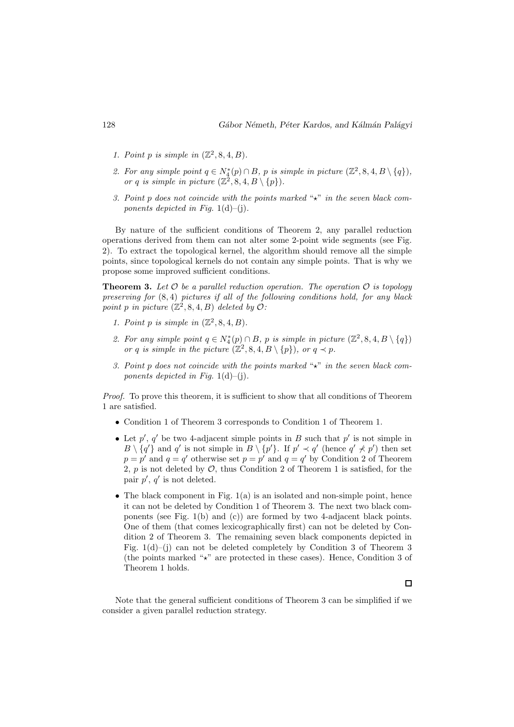- *1. Point p is simple in*  $(\mathbb{Z}^2, 8, 4, B)$ *.*
- 2. For any simple point  $q \in N_4^*(p) \cap B$ , p is simple in picture  $(\mathbb{Z}^2, 8, 4, B \setminus \{q\})$ , *or* q is simple in picture  $(\mathbb{Z}^2, 8, 4, B \setminus \{p\})$ .
- *3. Point* p *does not coincide with the points marked* " $\star$ " *in the seven black components depicted in Fig.* 1(d)–(i).

By nature of the sufficient conditions of Theorem 2, any parallel reduction operations derived from them can not alter some 2-point wide segments (see Fig. 2). To extract the topological kernel, the algorithm should remove all the simple points, since topological kernels do not contain any simple points. That is why we propose some improved sufficient conditions.

**Theorem 3.** Let  $O$  be a parallel reduction operation. The operation  $O$  is topology *preserving for* (8, 4) *pictures if all of the following conditions hold, for any black point* p *in picture*  $(\mathbb{Z}^2, 8, 4, B)$  *deleted by*  $\mathcal{O}$ *:* 

- *1. Point p is simple in*  $(\mathbb{Z}^2, 8, 4, B)$ *.*
- 2. For any simple point  $q \in N_4^*(p) \cap B$ , p is simple in picture  $(\mathbb{Z}^2, 8, 4, B \setminus \{q\})$ *or* q *is simple in the picture*  $(\mathbb{Z}^2, 8, 4, B \setminus \{p\})$ *, or*  $q \prec p$ *.*
- *3. Point* p does not coincide with the points marked " $\star$ " in the seven black com*ponents depicted in Fig.*  $1(d)$ –(j).

*Proof.* To prove this theorem, it is sufficient to show that all conditions of Theorem 1 are satisfied.

- Condition 1 of Theorem 3 corresponds to Condition 1 of Theorem 1.
- Let  $p'$ ,  $q'$  be two 4-adjacent simple points in B such that  $p'$  is not simple in  $B \setminus \{q'\}$  and q' is not simple in  $B \setminus \{p'\}$ . If  $p' \prec q'$  (hence  $q' \not\prec p'$ ) then set  $p = p'$  and  $q = q'$  otherwise set  $p = p'$  and  $q = q'$  by Condition 2 of Theorem 2, p is not deleted by  $\mathcal{O}$ , thus Condition 2 of Theorem 1 is satisfied, for the pair  $p'$ ,  $q'$  is not deleted.
- The black component in Fig. 1(a) is an isolated and non-simple point, hence it can not be deleted by Condition 1 of Theorem 3. The next two black components (see Fig. 1(b) and (c)) are formed by two 4-adjacent black points. One of them (that comes lexicographically first) can not be deleted by Condition 2 of Theorem 3. The remaining seven black components depicted in Fig. 1(d)–(j) can not be deleted completely by Condition 3 of Theorem 3 (the points marked " $\star$ " are protected in these cases). Hence, Condition 3 of Theorem 1 holds.

Note that the general sufficient conditions of Theorem 3 can be simplified if we consider a given parallel reduction strategy.

 $\Box$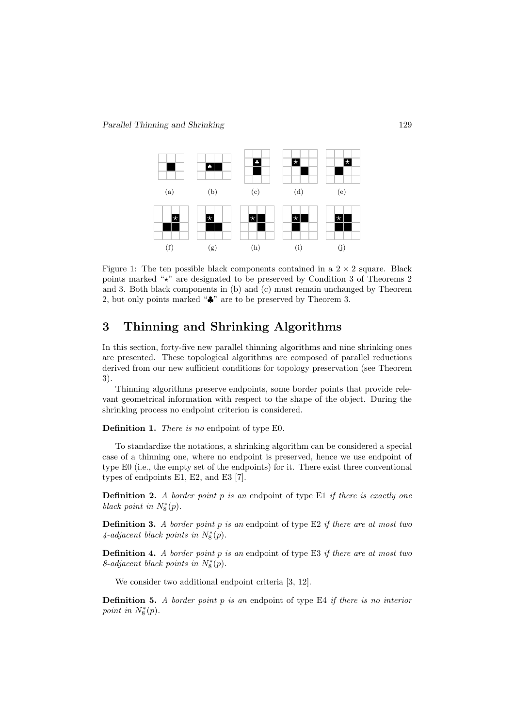

Figure 1: The ten possible black components contained in a  $2 \times 2$  square. Black points marked "⋆" are designated to be preserved by Condition 3 of Theorems 2 and 3. Both black components in (b) and (c) must remain unchanged by Theorem 2, but only points marked "♣" are to be preserved by Theorem 3.

# 3 Thinning and Shrinking Algorithms

In this section, forty-five new parallel thinning algorithms and nine shrinking ones are presented. These topological algorithms are composed of parallel reductions derived from our new sufficient conditions for topology preservation (see Theorem 3).

Thinning algorithms preserve endpoints, some border points that provide relevant geometrical information with respect to the shape of the object. During the shrinking process no endpoint criterion is considered.

Definition 1. *There is no* endpoint of type E0*.*

To standardize the notations, a shrinking algorithm can be considered a special case of a thinning one, where no endpoint is preserved, hence we use endpoint of type E0 (i.e., the empty set of the endpoints) for it. There exist three conventional types of endpoints E1, E2, and E3 [7].

Definition 2. *A border point* p *is an* endpoint of type E1 *if there is exactly one black point in*  $N_8^*(p)$ .

Definition 3. *A border point* p *is an* endpoint of type E2 *if there are at most two*  $\mu_4$ -adjacent black points in  $N_8^*(p)$ .

Definition 4. *A border point* p *is an* endpoint of type E3 *if there are at most two*  $8$ -adjacent black points in  $N_8^*(p)$ .

We consider two additional endpoint criteria [3, 12].

Definition 5. *A border point* p *is an* endpoint of type E4 *if there is no interior point in*  $N_8^*(p)$ .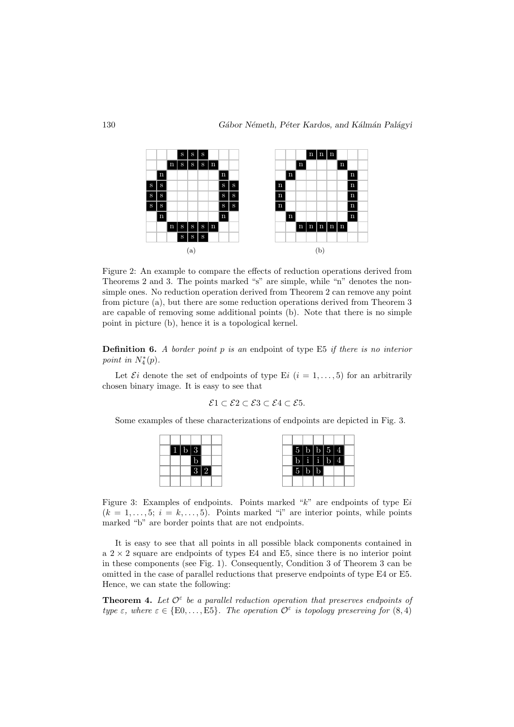

Figure 2: An example to compare the effects of reduction operations derived from Theorems 2 and 3. The points marked "s" are simple, while "n" denotes the nonsimple ones. No reduction operation derived from Theorem 2 can remove any point from picture (a), but there are some reduction operations derived from Theorem 3 are capable of removing some additional points (b). Note that there is no simple point in picture (b), hence it is a topological kernel.

Definition 6. *A border point* p *is an* endpoint of type E5 *if there is no interior point in*  $N_4^*(p)$ .

Let  $\mathcal{E}i$  denote the set of endpoints of type Ei  $(i = 1, \ldots, 5)$  for an arbitrarily chosen binary image. It is easy to see that

$$
\mathcal{E}1 \subset \mathcal{E}2 \subset \mathcal{E}3 \subset \mathcal{E}4 \subset \mathcal{E}5.
$$

Some examples of these characterizations of endpoints are depicted in Fig. 3.



Figure 3: Examples of endpoints. Points marked " $k$ " are endpoints of type Ei  $(k = 1, \ldots, 5; i = k, \ldots, 5)$ . Points marked "i" are interior points, while points marked "b" are border points that are not endpoints.

It is easy to see that all points in all possible black components contained in a  $2 \times 2$  square are endpoints of types E4 and E5, since there is no interior point in these components (see Fig. 1). Consequently, Condition 3 of Theorem 3 can be omitted in the case of parallel reductions that preserve endpoints of type E4 or E5. Hence, we can state the following:

**Theorem 4.** Let  $\mathcal{O}^{\epsilon}$  be a parallel reduction operation that preserves endpoints of *type*  $\varepsilon$ , where  $\varepsilon \in \{E0, \ldots, E5\}$ . The operation  $\mathcal{O}^{\varepsilon}$  is topology preserving for  $(8, 4)$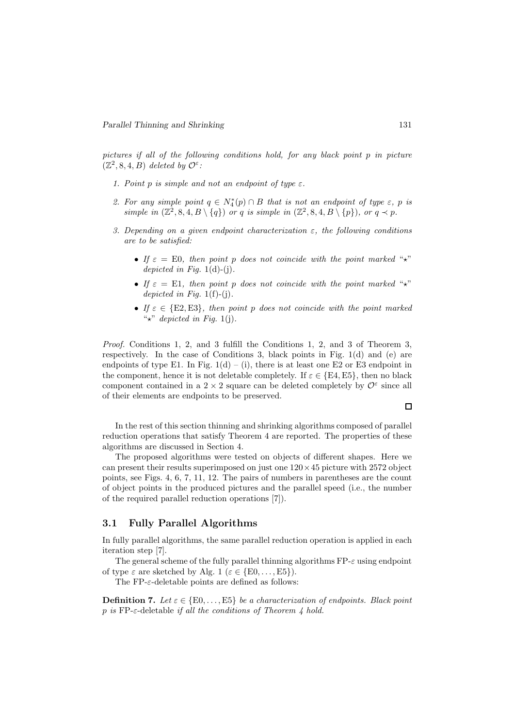*pictures if all of the following conditions hold, for any black point* p *in picture*  $(\mathbb{Z}^2, 8, 4, B)$  *deleted by*  $\mathcal{O}^{\varepsilon}$ *:* 

- *1. Point p is simple and not an endpoint of type*  $\varepsilon$ *.*
- 2. For any simple point  $q \in N_4^*(p) \cap B$  that is not an endpoint of type  $\varepsilon$ , p is simple in  $(\mathbb{Z}^2, 8, 4, B \setminus \{q\})$  *or* q *is simple in*  $(\mathbb{Z}^2, 8, 4, B \setminus \{p\})$ *, or*  $q \prec p$ *.*
- *3. Depending on a given endpoint characterization* ε*, the following conditions are to be satisfied:*
	- *If*  $\varepsilon = E0$ , then point p does not coincide with the point marked "<sup>\*</sup>\*" *depicted in Fig.* 1(d)-(j).
	- *If*  $\varepsilon = \text{E1}$ , then point p does not coincide with the point marked " $\star$ " *depicted in Fig.* 1(f)-(j)*.*
	- *If*  $\varepsilon \in \{E2, E3\}$ , then point p does not coincide with the point marked " $\star$ " *depicted in Fig.* 1(j).

*Proof.* Conditions 1, 2, and 3 fulfill the Conditions 1, 2, and 3 of Theorem 3, respectively. In the case of Conditions 3, black points in Fig. 1(d) and (e) are endpoints of type E1. In Fig.  $1(d) - (i)$ , there is at least one E2 or E3 endpoint in the component, hence it is not deletable completely. If  $\varepsilon \in \{E4, E5\}$ , then no black component contained in a 2  $\times$  2 square can be deleted completely by  $\mathcal{O}^{\varepsilon}$  since all of their elements are endpoints to be preserved.

In the rest of this section thinning and shrinking algorithms composed of parallel reduction operations that satisfy Theorem 4 are reported. The properties of these algorithms are discussed in Section 4.

The proposed algorithms were tested on objects of different shapes. Here we can present their results superimposed on just one  $120 \times 45$  picture with 2572 object points, see Figs. 4, 6, 7, 11, 12. The pairs of numbers in parentheses are the count of object points in the produced pictures and the parallel speed (i.e., the number of the required parallel reduction operations [7]).

### 3.1 Fully Parallel Algorithms

In fully parallel algorithms, the same parallel reduction operation is applied in each iteration step [7].

The general scheme of the fully parallel thinning algorithms  $FP-\varepsilon$  using endpoint of type  $\varepsilon$  are sketched by Alg. 1 ( $\varepsilon \in \{E0, \ldots, E5\}$ ).

The  $FP-\varepsilon$ -deletable points are defined as follows:

**Definition 7.** Let  $\varepsilon \in \{E0, \ldots, E5\}$  be a characterization of endpoints. Black point p *is* FP-ε-deletable *if all the conditions of Theorem 4 hold.*

 $\Box$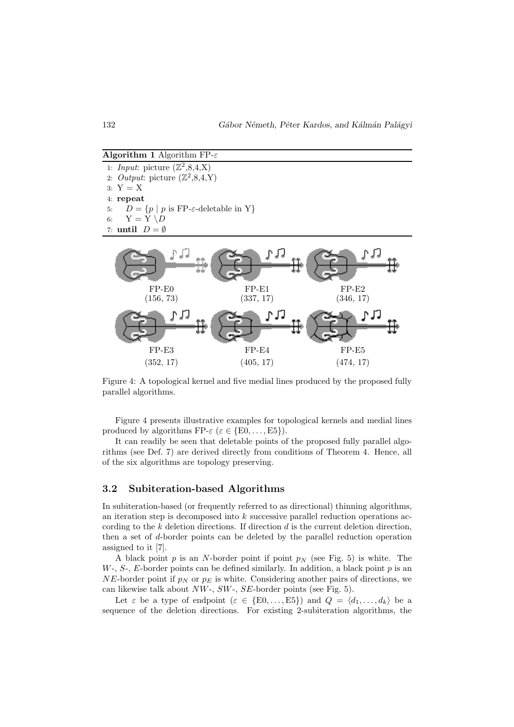**Algorithm 1** Algorithm FP- $\varepsilon$ 

1: *Input*: picture  $(\mathbb{Z}^2, 8, 4, X)$ 2. *Output*: picture  $(\mathbb{Z}^2, 8, 4, Y)$  $3: Y = X$ 4: repeat 5:  $D = \{p \mid p \text{ is FP-}\varepsilon\text{-deletable in Y}\}\$ 6:  $Y = Y \ D$ 7: until  $D = \emptyset$ 



Figure 4: A topological kernel and five medial lines produced by the proposed fully parallel algorithms.

Figure 4 presents illustrative examples for topological kernels and medial lines produced by algorithms FP- $\varepsilon$  ( $\varepsilon \in \{E0, \ldots, E5\}$ ).

It can readily be seen that deletable points of the proposed fully parallel algorithms (see Def. 7) are derived directly from conditions of Theorem 4. Hence, all of the six algorithms are topology preserving.

#### 3.2 Subiteration-based Algorithms

In subiteration-based (or frequently referred to as directional) thinning algorithms, an iteration step is decomposed into k successive parallel reduction operations according to the  $k$  deletion directions. If direction  $d$  is the current deletion direction, then a set of d-border points can be deleted by the parallel reduction operation assigned to it [7].

A black point  $p$  is an N-border point if point  $p_N$  (see Fig. 5) is white. The  $W$ -,  $S$ -,  $E$ -border points can be defined similarly. In addition, a black point  $p$  is an NE-border point if  $p_N$  or  $p_E$  is white. Considering another pairs of directions, we can likewise talk about  $NW$ -,  $SW$ -,  $SE$ -border points (see Fig. 5).

Let  $\varepsilon$  be a type of endpoint  $(\varepsilon \in \{E0,\ldots,E5\})$  and  $Q = \langle d_1,\ldots,d_k \rangle$  be a sequence of the deletion directions. For existing 2-subiteration algorithms, the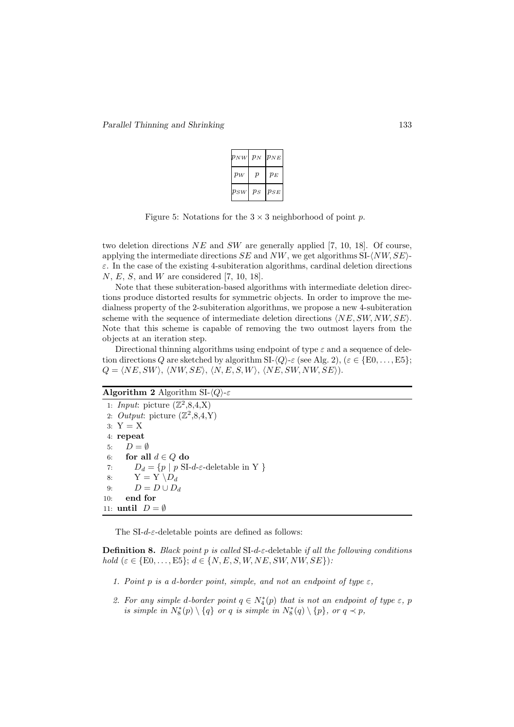| $p_{NW}$ | $p_N$ | $p_{NE}$ |
|----------|-------|----------|
| $p_W$    | р     | $p_E$    |
| $p_{SW}$ | $p_S$ | $p_{SE}$ |

Figure 5: Notations for the  $3 \times 3$  neighborhood of point p.

two deletion directions  $NE$  and  $SW$  are generally applied [7, 10, 18]. Of course, applying the intermediate directions  $SE$  and  $NW$ , we get algorithms  $SL\langle NW, SE\rangle$ - $\varepsilon$ . In the case of the existing 4-subiteration algorithms, cardinal deletion directions N, E, S, and W are considered [7, 10, 18].

Note that these subiteration-based algorithms with intermediate deletion directions produce distorted results for symmetric objects. In order to improve the medialness property of the 2-subiteration algorithms, we propose a new 4-subiteration scheme with the sequence of intermediate deletion directions  $\langle NE, SW, NW, SE \rangle$ . Note that this scheme is capable of removing the two outmost layers from the objects at an iteration step.

Directional thinning algorithms using endpoint of type  $\varepsilon$  and a sequence of deletion directions Q are sketched by algorithm  $SL\langle Q \rangle$ -ε (see Alg. 2), ( $\varepsilon \in \{E0, \ldots, E5\}$ ;  $Q = \langle NE, SW \rangle, \langle NW, SE \rangle, \langle N, E, S, W \rangle, \langle NE, SW, NW, SE \rangle).$ 

#### **Algorithm 2** Algorithm SI- $\langle Q \rangle$ -ε

1: *Input*: picture  $(\mathbb{Z}^2, 8, 4, X)$ 2. *Output*: picture  $(\mathbb{Z}^2, 8, 4, Y)$  $3: Y = X$ 4: repeat 5:  $D = \emptyset$ 6: for all  $d \in Q$  do 7:  $D_d = \{p \mid p \text{ SI-}d-\varepsilon\text{-deletable in Y }\}$ 8:  $Y = Y \setminus D_d$ 9:  $D = D \cup D_d$ 10: end for 11: **until**  $D = \emptyset$ 

The SI-d- $\varepsilon$ -deletable points are defined as follows:

Definition 8. *Black point* p *is called* SI-d-ε-deletable *if all the following conditions hold*  $(\varepsilon \in \{E0, ..., E5\}; d \in \{N, E, S, W, NE, SW, NW, SE\})$ :

- *1. Point* p *is a d-border point, simple, and not an endpoint of type*  $\varepsilon$ *,*
- 2. For any simple d-border point  $q \in N_4^*(p)$  that is not an endpoint of type  $\varepsilon$ , p *is simple in*  $N_8^*(p) \setminus \{q\}$  *or* q *is simple in*  $N_8^*(q) \setminus \{p\}$ *, or*  $q \prec p$ *,*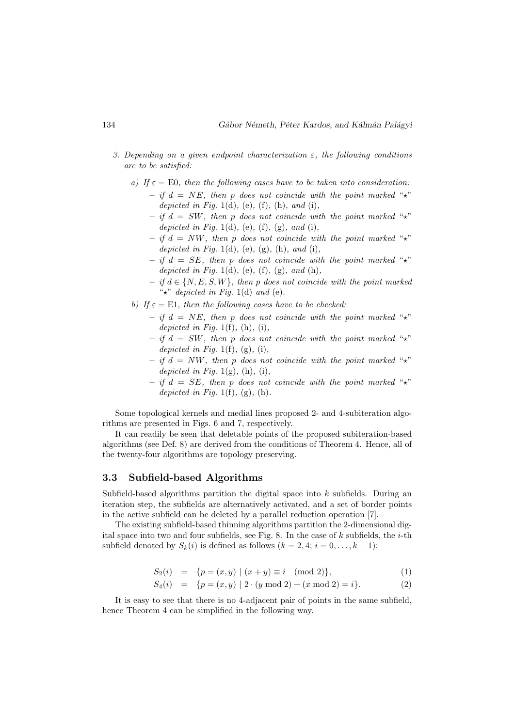- *3. Depending on a given endpoint characterization* ε*, the following conditions are to be satisfied:*
	- *a)* If  $\varepsilon = E0$ , then the following cases have to be taken into consideration:  $-$  *if*  $d = NE$ , then p does not coincide with the point marked " $\star$ " *depicted in Fig.* 1(d)*,* (e)*,* (f)*,* (h)*, and* (i)*,*
		- $-$  *if*  $d = SW$ , then p does not coincide with the point marked " $\star$ " *depicted in Fig.* 1(d)*,* (e)*,* (f)*,* (g)*, and* (i)*,*
		- $-$  *if*  $d = NW$ , then p does not coincide with the point marked " $\star$ " *depicted in Fig.* 1(d)*,* (e)*,* (g)*,* (h)*, and* (i)*,*
		- $-$  *if*  $d = SE$ , then p does not coincide with the point marked " $\star$ " *depicted in Fig.* 1(d)*,* (e)*,* (f)*,* (g)*, and* (h)*,*
		- *if* d ∈ {N, E, S, W}*, then* p *does not coincide with the point marked* "⋆" *depicted in Fig.* 1(d) *and* (e)*.*
	- *b)* If  $\varepsilon = \text{E1}$ , then the following cases have to be checked:
		- $-$  *if*  $d = NE$ , then p does not coincide with the point marked " $\star$ " *depicted in Fig.* 1(f)*,* (h)*,* (i)*,*
		- $-$  *if*  $d = SW$ , then p does not coincide with the point marked " $\star$ " *depicted in Fig.* 1(f)*,* (g)*,* (i)*,*
		- $-$  *if*  $d = NW$ , then p does not coincide with the point marked " $\star$ " *depicted in Fig.* 1(g)*,* (h)*,* (i)*,*
		- $-$  *if*  $d = SE$ , then p does not coincide with the point marked " $\star$ " *depicted in Fig.* 1(f)*,* (g)*,* (h)*.*

Some topological kernels and medial lines proposed 2- and 4-subiteration algorithms are presented in Figs. 6 and 7, respectively.

It can readily be seen that deletable points of the proposed subiteration-based algorithms (see Def. 8) are derived from the conditions of Theorem 4. Hence, all of the twenty-four algorithms are topology preserving.

#### 3.3 Subfield-based Algorithms

Subfield-based algorithms partition the digital space into k subfields. During an iteration step, the subfields are alternatively activated, and a set of border points in the active subfield can be deleted by a parallel reduction operation [7].

The existing subfield-based thinning algorithms partition the 2-dimensional digital space into two and four subfields, see Fig. 8. In the case of k subfields, the i-th subfield denoted by  $S_k(i)$  is defined as follows  $(k = 2, 4; i = 0, \ldots, k - 1)$ :

$$
S_2(i) = \{ p = (x, y) \mid (x + y) \equiv i \pmod{2} \},
$$
 (1)

$$
S_4(i) = \{ p = (x, y) \mid 2 \cdot (y \mod 2) + (x \mod 2) = i \}. \tag{2}
$$

It is easy to see that there is no 4-adjacent pair of points in the same subfield, hence Theorem 4 can be simplified in the following way.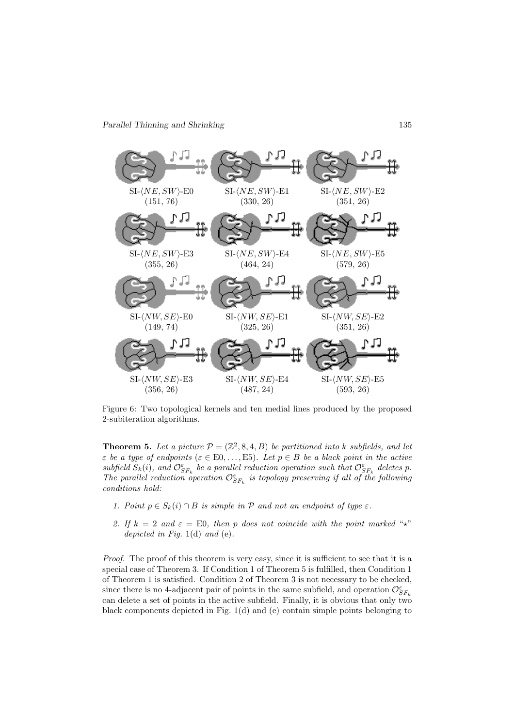

Figure 6: Two topological kernels and ten medial lines produced by the proposed 2-subiteration algorithms.

**Theorem 5.** Let a picture  $P = (\mathbb{Z}^2, 8, 4, B)$  be partitioned into k subfields, and let  $\varepsilon$  *be a type of endpoints* ( $\varepsilon \in E0, \ldots, E5$ ). Let  $p \in B$  *be a black point in the active*  $subfield S_k(i)$ , and  $\mathcal{O}_{SF_k}^{\varepsilon}$  be a parallel reduction operation such that  $\mathcal{O}_{SF_k}^{\varepsilon}$  deletes p. The parallel reduction operation  $\mathcal{O}_{SF_k}^{\varepsilon}$  is topology preserving if all of the following *conditions hold:*

- *1. Point*  $p \in S_k(i) \cap B$  *is simple in*  $P$  *and not an endpoint of type*  $\varepsilon$ *.*
- 2. If  $k = 2$  and  $\varepsilon = E0$ , then p does not coincide with the point marked "<sup>\*</sup>\*" *depicted in Fig.* 1(d) *and* (e)*.*

*Proof.* The proof of this theorem is very easy, since it is sufficient to see that it is a special case of Theorem 3. If Condition 1 of Theorem 5 is fulfilled, then Condition 1 of Theorem 1 is satisfied. Condition 2 of Theorem 3 is not necessary to be checked, since there is no 4-adjacent pair of points in the same subfield, and operation  $\mathcal{O}_{SF_k}^{\varepsilon}$ can delete a set of points in the active subfield. Finally, it is obvious that only two black components depicted in Fig.  $1(d)$  and (e) contain simple points belonging to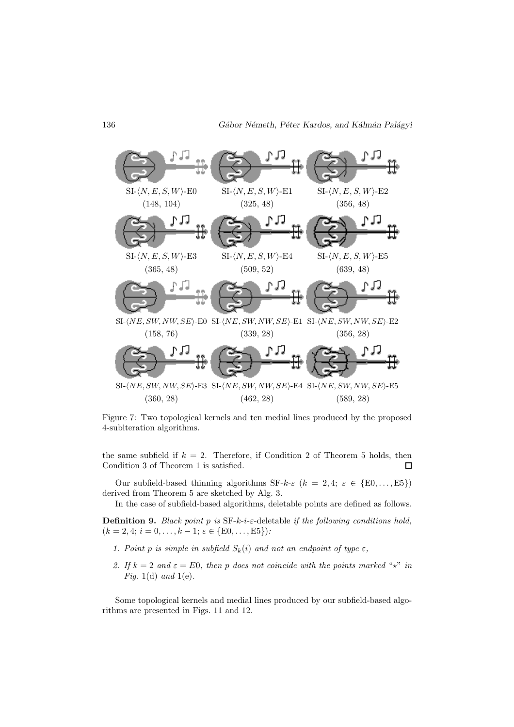

Figure 7: Two topological kernels and ten medial lines produced by the proposed 4-subiteration algorithms.

the same subfield if  $k = 2$ . Therefore, if Condition 2 of Theorem 5 holds, then Condition 3 of Theorem 1 is satisfied.  $\Box$ 

Our subfield-based thinning algorithms  $SF-k-\varepsilon$   $(k = 2, 4; \varepsilon \in \{E0, \ldots, E5\})$ derived from Theorem 5 are sketched by Alg. 3.

In the case of subfield-based algorithms, deletable points are defined as follows.

Definition 9. *Black point* p *is* SF-k-i-ε-deletable *if the following conditions hold,*  $(k = 2, 4; i = 0, \ldots, k - 1; \varepsilon \in \{E0, \ldots, E5\})$ :

- *1. Point p is simple in subfield*  $S_k(i)$  *and not an endpoint of type*  $\varepsilon$ *,*
- 2. If  $k = 2$  and  $\varepsilon = E0$ , then p does not coincide with the points marked " $\star$ " *in Fig.* 1(d) *and* 1(e)*.*

Some topological kernels and medial lines produced by our subfield-based algorithms are presented in Figs. 11 and 12.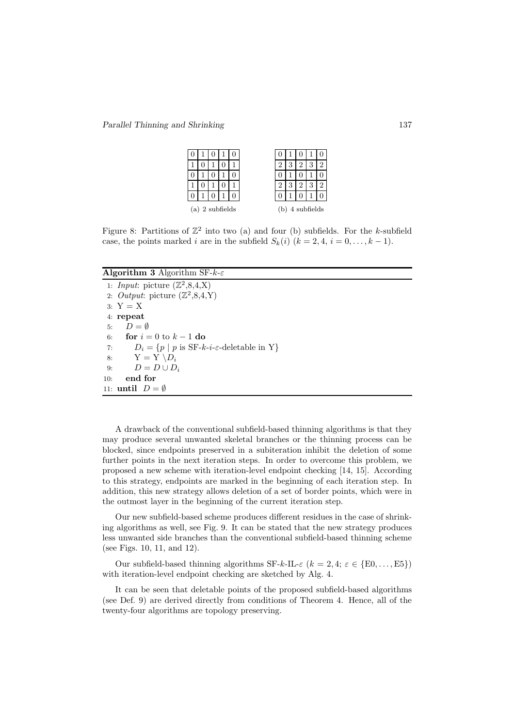Parallel Thinning and Shrinking 137

| 0                 |  |  |  |  |                  |  |  |  |  |  |
|-------------------|--|--|--|--|------------------|--|--|--|--|--|
|                   |  |  |  |  |                  |  |  |  |  |  |
|                   |  |  |  |  |                  |  |  |  |  |  |
|                   |  |  |  |  |                  |  |  |  |  |  |
|                   |  |  |  |  |                  |  |  |  |  |  |
| $(a)$ 2 subfields |  |  |  |  | 4 subfields<br>b |  |  |  |  |  |

Figure 8: Partitions of  $\mathbb{Z}^2$  into two (a) and four (b) subfields. For the k-subfield case, the points marked i are in the subfield  $S_k(i)$   $(k = 2, 4, i = 0, \ldots, k - 1)$ .

#### **Algorithm 3** Algorithm SF- $k$ - $\varepsilon$

1: *Input*: picture  $(\mathbb{Z}^2, 8, 4, X)$ 2. *Output*: picture  $(\mathbb{Z}^2, 8, 4, Y)$ 3: Y = X 4: repeat 5:  $D = \emptyset$ 6: for  $i = 0$  to  $k - 1$  do 7:  $D_i = \{p \mid p \text{ is SF-}k-i-\varepsilon\text{-deletable in Y}\}\$ 8:  $Y = Y \setminus D_i$ 9:  $D = D \cup D_i$ 10: end for 11: **until**  $D = \emptyset$ 

A drawback of the conventional subfield-based thinning algorithms is that they may produce several unwanted skeletal branches or the thinning process can be blocked, since endpoints preserved in a subiteration inhibit the deletion of some further points in the next iteration steps. In order to overcome this problem, we proposed a new scheme with iteration-level endpoint checking [14, 15]. According to this strategy, endpoints are marked in the beginning of each iteration step. In addition, this new strategy allows deletion of a set of border points, which were in the outmost layer in the beginning of the current iteration step.

Our new subfield-based scheme produces different residues in the case of shrinking algorithms as well, see Fig. 9. It can be stated that the new strategy produces less unwanted side branches than the conventional subfield-based thinning scheme (see Figs. 10, 11, and 12).

Our subfield-based thinning algorithms  $SF-k-IL-\varepsilon$   $(k = 2, 4; \varepsilon \in \{E0, \ldots, E5\})$ with iteration-level endpoint checking are sketched by Alg. 4.

It can be seen that deletable points of the proposed subfield-based algorithms (see Def. 9) are derived directly from conditions of Theorem 4. Hence, all of the twenty-four algorithms are topology preserving.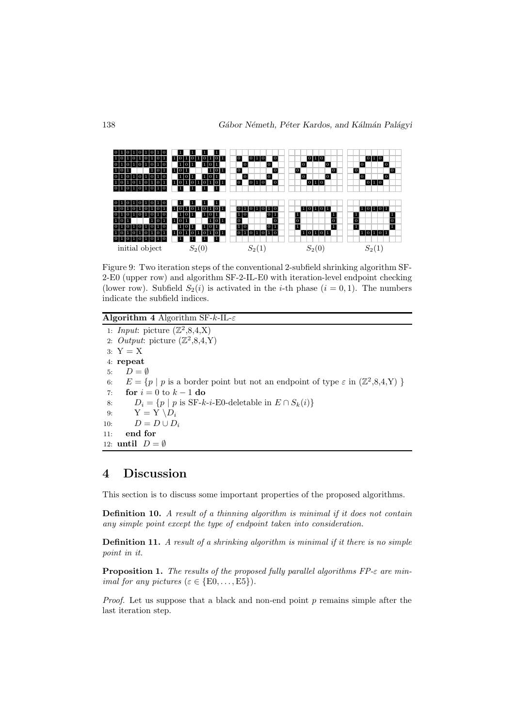

Figure 9: Two iteration steps of the conventional 2-subfield shrinking algorithm SF-2-E0 (upper row) and algorithm SF-2-IL-E0 with iteration-level endpoint checking (lower row). Subfield  $S_2(i)$  is activated in the *i*-th phase  $(i = 0, 1)$ . The numbers indicate the subfield indices.

#### Algorithm 4 Algorithm SF- $k$ -IL- $\varepsilon$

1: *Input*: picture  $(\mathbb{Z}^2, 8, 4, X)$ 2. *Output*: picture  $(\mathbb{Z}^2, 8, 4, Y)$  $3: Y = X$ 4: repeat 5:  $D = \emptyset$ 6:  $E = \{p \mid p \text{ is a border point but not an endpoint of type } \varepsilon \text{ in } (\mathbb{Z}^2, 8, 4, Y) \}$ 7: for  $i = 0$  to  $k - 1$  do 8:  $D_i = \{p \mid p \text{ is SF-}k-i\text{-E0-deletable in } E \cap S_k(i)\}\$ 9:  $Y = Y \setminus D_i$ 10:  $D = D \cup D_i$ 11: end for 12: until  $D = \emptyset$ 

# 4 Discussion

This section is to discuss some important properties of the proposed algorithms.

Definition 10. *A result of a thinning algorithm is minimal if it does not contain any simple point except the type of endpoint taken into consideration.*

Definition 11. *A result of a shrinking algorithm is minimal if it there is no simple point in it.*

Proposition 1. *The results of the proposed fully parallel algorithms FP-*ε *are minimal for any pictures*  $(\varepsilon \in \{E0, \ldots, E5\})$ .

*Proof.* Let us suppose that a black and non-end point p remains simple after the last iteration step.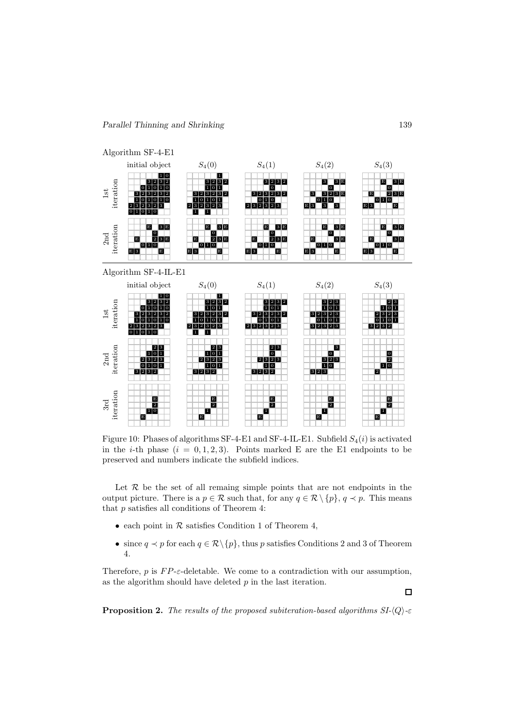

Figure 10: Phases of algorithms SF-4-E1 and SF-4-IL-E1. Subfield  $S_4(i)$  is activated in the *i*-th phase  $(i = 0, 1, 2, 3)$ . Points marked E are the E1 endpoints to be preserved and numbers indicate the subfield indices.

Let  $R$  be the set of all remaing simple points that are not endpoints in the output picture. There is a  $p \in \mathcal{R}$  such that, for any  $q \in \mathcal{R} \setminus \{p\}$ ,  $q \prec p$ . This means that p satisfies all conditions of Theorem 4:

- each point in  $R$  satisfies Condition 1 of Theorem 4,
- since  $q \prec p$  for each  $q \in \mathcal{R} \setminus \{p\}$ , thus p satisfies Conditions 2 and 3 of Theorem 4.

Therefore,  $p$  is  $FP$ - $\varepsilon$ -deletable. We come to a contradiction with our assumption, as the algorithm should have deleted  $p$  in the last iteration.

**Proposition 2.** *The results of the proposed subiteration-based algorithms*  $SI-(Q)$ -ε

 $\Box$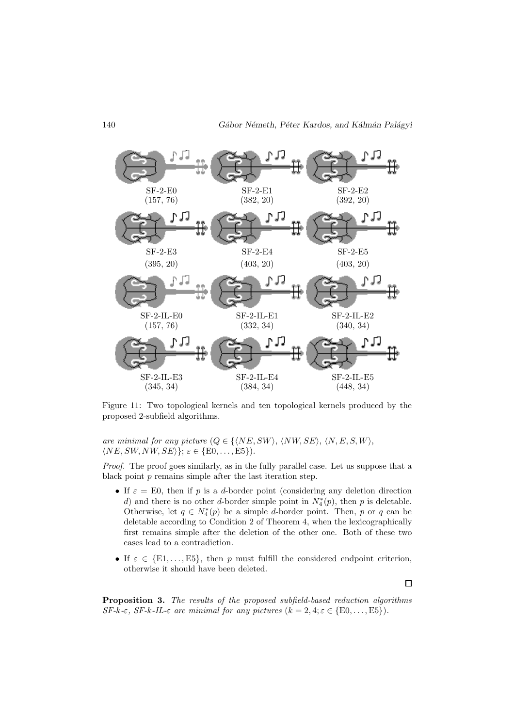

Figure 11: Two topological kernels and ten topological kernels produced by the proposed 2-subfield algorithms.

*are minimal for any picture*  $(Q \in \{ \langle NE, SW \rangle, \langle NW, SE \rangle, \langle N, E, S, W \rangle,$  $\langle NE, SW, NW, SE \rangle$ ;  $\varepsilon \in \{E0, \ldots, E5\}$ .

*Proof.* The proof goes similarly, as in the fully parallel case. Let us suppose that a black point  $p$  remains simple after the last iteration step.

- If  $\varepsilon = E0$ , then if p is a d-border point (considering any deletion direction d) and there is no other d-border simple point in  $N_4^*(p)$ , then p is deletable. Otherwise, let  $q \in N_4^*(p)$  be a simple d-border point. Then, p or q can be deletable according to Condition 2 of Theorem 4, when the lexicographically first remains simple after the deletion of the other one. Both of these two cases lead to a contradiction.
- If  $\varepsilon \in \{E1,\ldots,E5\}$ , then p must fulfill the considered endpoint criterion, otherwise it should have been deleted.

 $\Box$ 

Proposition 3. *The results of the proposed subfield-based reduction algorithms*  $SF-k-\varepsilon$ ,  $SF-k-\varepsilon$  *are minimal for any pictures*  $(k = 2, 4; \varepsilon \in \{E0, \ldots, E5\})$ .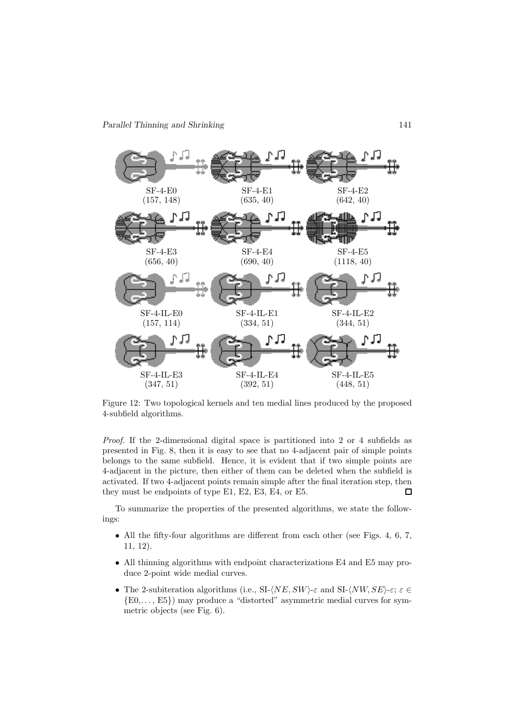

Figure 12: Two topological kernels and ten medial lines produced by the proposed 4-subfield algorithms.

*Proof.* If the 2-dimensional digital space is partitioned into 2 or 4 subfields as presented in Fig. 8, then it is easy to see that no 4-adjacent pair of simple points belongs to the same subfield. Hence, it is evident that if two simple points are 4-adjacent in the picture, then either of them can be deleted when the subfield is activated. If two 4-adjacent points remain simple after the final iteration step, then they must be endpoints of type E1, E2, E3, E4, or E5.  $\Box$ 

To summarize the properties of the presented algorithms, we state the followings:

- All the fifty-four algorithms are different from each other (see Figs. 4, 6, 7, 11, 12).
- All thinning algorithms with endpoint characterizations E4 and E5 may produce 2-point wide medial curves.
- The 2-subiteration algorithms (i.e.,  $SL\langle NE, SW\rangle \text{-} \varepsilon$  and  $SL\langle NW, SE\rangle \text{-} \varepsilon; \varepsilon \in$ {E0,. . . , E5}) may produce a "distorted" asymmetric medial curves for symmetric objects (see Fig. 6).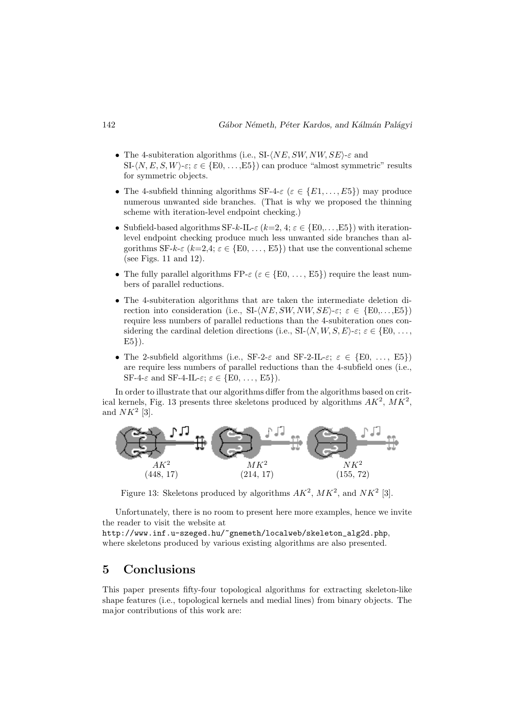- The 4-subiteration algorithms (i.e., SI- $\langle NE, SW, NW, SE \rangle \in$  and  $SL\langle N, E, S, W\rangle_{\varepsilon}; \varepsilon \in \{E0, \ldots, E5\}$  can produce "almost symmetric" results for symmetric objects.
- The 4-subfield thinning algorithms  $SF-4-\varepsilon$  ( $\varepsilon \in \{E1,\ldots,E5\}$ ) may produce numerous unwanted side branches. (That is why we proposed the thinning scheme with iteration-level endpoint checking.)
- Subfield-based algorithms SF-k-IL- $\varepsilon$  (k=2, 4;  $\varepsilon \in \{E0,\ldots,E5\}$ ) with iterationlevel endpoint checking produce much less unwanted side branches than algorithms SF-k- $\varepsilon$  (k=2,4;  $\varepsilon \in \{E0, \ldots, E5\}$ ) that use the conventional scheme (see Figs. 11 and 12).
- The fully parallel algorithms  $\text{FP-}\varepsilon \ (\varepsilon \in \{\text{E0}, \ldots, \text{E5}\})$  require the least numbers of parallel reductions.
- The 4-subiteration algorithms that are taken the intermediate deletion direction into consideration (i.e., SI- $\langle NE, SW, NW, SE \rangle \in \{E0, \ldots, E5\}$ ) require less numbers of parallel reductions than the 4-subiteration ones considering the cardinal deletion directions (i.e., SI- $\langle N, W, S, E \rangle$ -ε;  $\varepsilon \in \{E0, \ldots,$  $E5$ .
- The 2-subfield algorithms (i.e., SF-2- $\varepsilon$  and SF-2-IL- $\varepsilon$ ;  $\varepsilon \in \{E0, \ldots, E5\}$ ) are require less numbers of parallel reductions than the 4-subfield ones (i.e., SF-4- $\varepsilon$  and SF-4-IL- $\varepsilon$ ;  $\varepsilon \in \{E0, \ldots, E5\}$ ).

In order to illustrate that our algorithms differ from the algorithms based on critical kernels, Fig. 13 presents three skeletons produced by algorithms  $AK^2$ ,  $MK^2$ , and  $NK^2$  [3].



Figure 13: Skeletons produced by algorithms  $AK^2$ ,  $MK^2$ , and  $NK^2$  [3].

Unfortunately, there is no room to present here more examples, hence we invite the reader to visit the website at

http://www.inf.u-szeged.hu/~gnemeth/localweb/skeleton\_alg2d.php, where skeletons produced by various existing algorithms are also presented.

# 5 Conclusions

This paper presents fifty-four topological algorithms for extracting skeleton-like shape features (i.e., topological kernels and medial lines) from binary objects. The major contributions of this work are: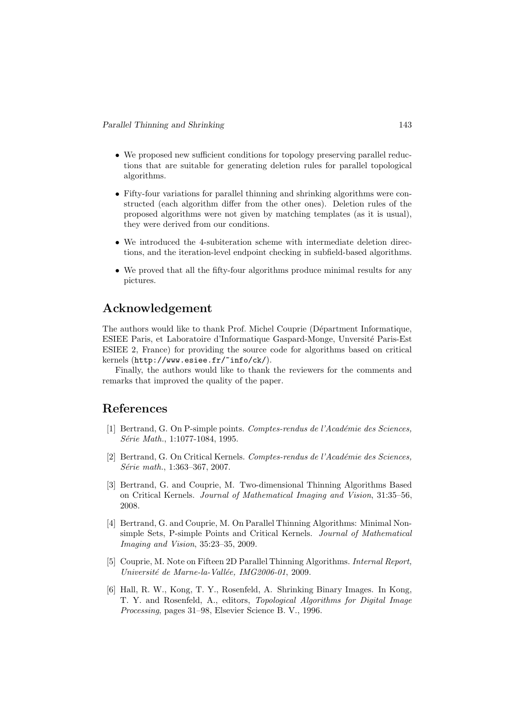- We proposed new sufficient conditions for topology preserving parallel reductions that are suitable for generating deletion rules for parallel topological algorithms.
- Fifty-four variations for parallel thinning and shrinking algorithms were constructed (each algorithm differ from the other ones). Deletion rules of the proposed algorithms were not given by matching templates (as it is usual), they were derived from our conditions.
- We introduced the 4-subiteration scheme with intermediate deletion directions, and the iteration-level endpoint checking in subfield-based algorithms.
- We proved that all the fifty-four algorithms produce minimal results for any pictures.

# Acknowledgement

The authors would like to thank Prof. Michel Couprie (Départment Informatique, ESIEE Paris, et Laboratoire d'Informatique Gaspard-Monge, Unversit´e Paris-Est ESIEE 2, France) for providing the source code for algorithms based on critical kernels (http://www.esiee.fr/~info/ck/).

Finally, the authors would like to thank the reviewers for the comments and remarks that improved the quality of the paper.

### References

- [1] Bertrand, G. On P-simple points. *Comptes-rendus de l'Acad´emie des Sciences, S´erie Math.*, 1:1077-1084, 1995.
- [2] Bertrand, G. On Critical Kernels. *Comptes-rendus de l'Académie des Sciences*, *S´erie math.*, 1:363–367, 2007.
- [3] Bertrand, G. and Couprie, M. Two-dimensional Thinning Algorithms Based on Critical Kernels. *Journal of Mathematical Imaging and Vision*, 31:35–56, 2008.
- [4] Bertrand, G. and Couprie, M. On Parallel Thinning Algorithms: Minimal Nonsimple Sets, P-simple Points and Critical Kernels. *Journal of Mathematical Imaging and Vision*, 35:23–35, 2009.
- [5] Couprie, M. Note on Fifteen 2D Parallel Thinning Algorithms. *Internal Report, Universit´e de Marne-la-Vall´ee, IMG2006-01*, 2009.
- [6] Hall, R. W., Kong, T. Y., Rosenfeld, A. Shrinking Binary Images. In Kong, T. Y. and Rosenfeld, A., editors, *Topological Algorithms for Digital Image Processing*, pages 31–98, Elsevier Science B. V., 1996.